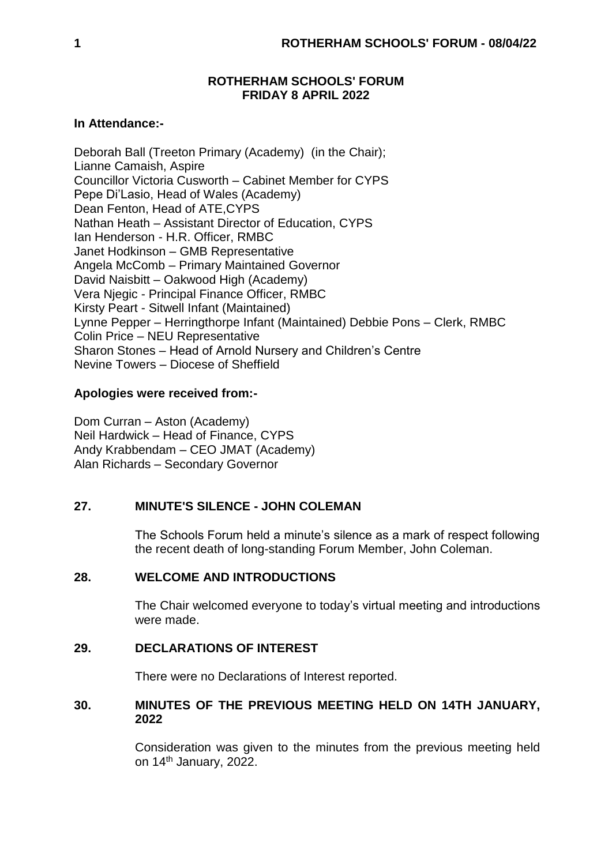## **ROTHERHAM SCHOOLS' FORUM FRIDAY 8 APRIL 2022**

## **In Attendance:-**

Deborah Ball (Treeton Primary (Academy) (in the Chair); Lianne Camaish, Aspire Councillor Victoria Cusworth – Cabinet Member for CYPS Pepe Di'Lasio, Head of Wales (Academy) Dean Fenton, Head of ATE,CYPS Nathan Heath – Assistant Director of Education, CYPS Ian Henderson - H.R. Officer, RMBC Janet Hodkinson – GMB Representative Angela McComb – Primary Maintained Governor David Naisbitt – Oakwood High (Academy) Vera Njegic - Principal Finance Officer, RMBC Kirsty Peart - Sitwell Infant (Maintained) Lynne Pepper – Herringthorpe Infant (Maintained) Debbie Pons – Clerk, RMBC Colin Price – NEU Representative Sharon Stones – Head of Arnold Nursery and Children's Centre Nevine Towers – Diocese of Sheffield

# **Apologies were received from:-**

Dom Curran – Aston (Academy) Neil Hardwick – Head of Finance, CYPS Andy Krabbendam – CEO JMAT (Academy) Alan Richards – Secondary Governor

# **27. MINUTE'S SILENCE - JOHN COLEMAN**

The Schools Forum held a minute's silence as a mark of respect following the recent death of long-standing Forum Member, John Coleman.

### **28. WELCOME AND INTRODUCTIONS**

The Chair welcomed everyone to today's virtual meeting and introductions were made.

# **29. DECLARATIONS OF INTEREST**

There were no Declarations of Interest reported.

## **30. MINUTES OF THE PREVIOUS MEETING HELD ON 14TH JANUARY, 2022**

Consideration was given to the minutes from the previous meeting held on 14th January, 2022.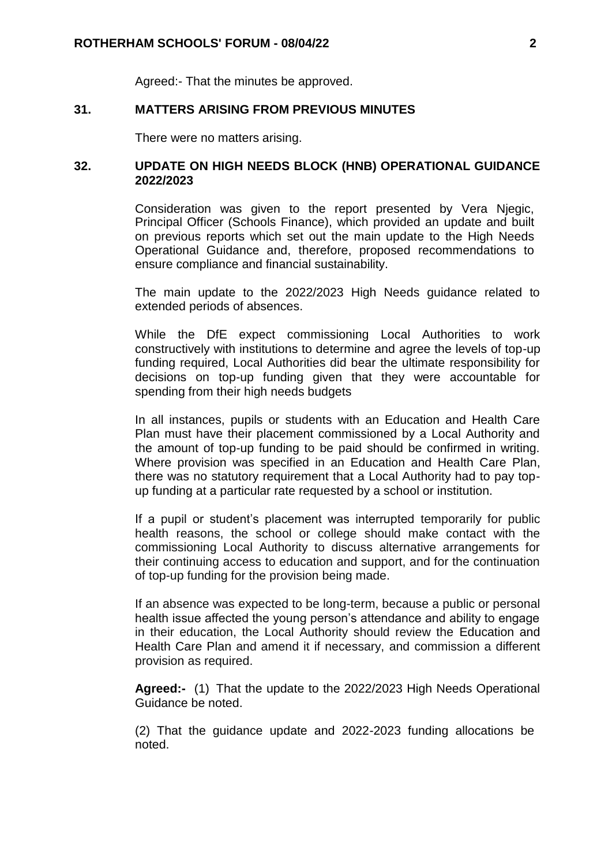Agreed:- That the minutes be approved.

### **31. MATTERS ARISING FROM PREVIOUS MINUTES**

There were no matters arising.

### **32. UPDATE ON HIGH NEEDS BLOCK (HNB) OPERATIONAL GUIDANCE 2022/2023**

Consideration was given to the report presented by Vera Njegic, Principal Officer (Schools Finance), which provided an update and built on previous reports which set out the main update to the High Needs Operational Guidance and, therefore, proposed recommendations to ensure compliance and financial sustainability.

The main update to the 2022/2023 High Needs guidance related to extended periods of absences.

While the DfE expect commissioning Local Authorities to work constructively with institutions to determine and agree the levels of top-up funding required, Local Authorities did bear the ultimate responsibility for decisions on top-up funding given that they were accountable for spending from their high needs budgets

In all instances, pupils or students with an Education and Health Care Plan must have their placement commissioned by a Local Authority and the amount of top-up funding to be paid should be confirmed in writing. Where provision was specified in an Education and Health Care Plan, there was no statutory requirement that a Local Authority had to pay topup funding at a particular rate requested by a school or institution.

If a pupil or student's placement was interrupted temporarily for public health reasons, the school or college should make contact with the commissioning Local Authority to discuss alternative arrangements for their continuing access to education and support, and for the continuation of top-up funding for the provision being made.

If an absence was expected to be long-term, because a public or personal health issue affected the young person's attendance and ability to engage in their education, the Local Authority should review the Education and Health Care Plan and amend it if necessary, and commission a different provision as required.

**Agreed:-** (1) That the update to the 2022/2023 High Needs Operational Guidance be noted.

(2) That the guidance update and 2022-2023 funding allocations be noted.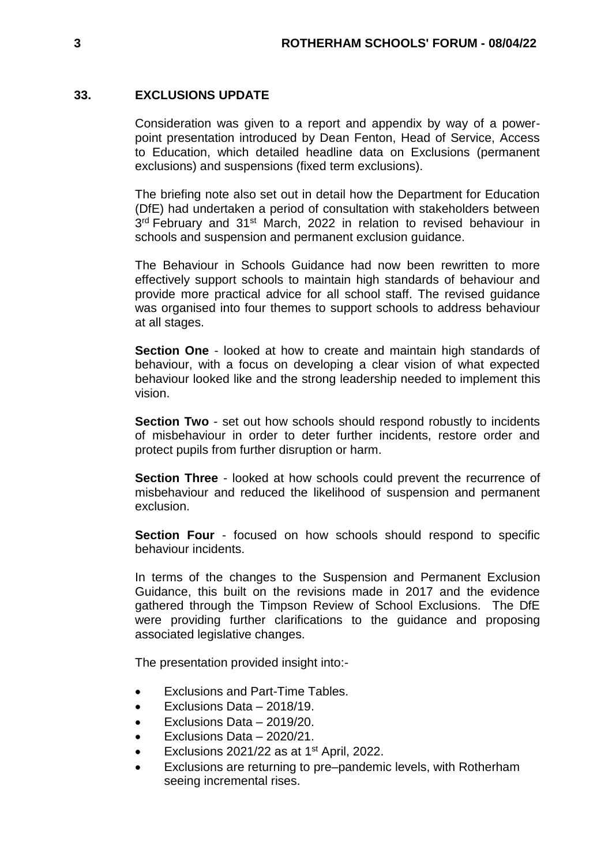## **33. EXCLUSIONS UPDATE**

Consideration was given to a report and appendix by way of a powerpoint presentation introduced by Dean Fenton, Head of Service, Access to Education, which detailed headline data on Exclusions (permanent exclusions) and suspensions (fixed term exclusions).

The briefing note also set out in detail how the Department for Education (DfE) had undertaken a period of consultation with stakeholders between 3<sup>rd</sup> February and 31<sup>st</sup> March, 2022 in relation to revised behaviour in schools and suspension and permanent exclusion guidance.

The Behaviour in Schools Guidance had now been rewritten to more effectively support schools to maintain high standards of behaviour and provide more practical advice for all school staff. The revised guidance was organised into four themes to support schools to address behaviour at all stages.

**Section One** - looked at how to create and maintain high standards of behaviour, with a focus on developing a clear vision of what expected behaviour looked like and the strong leadership needed to implement this vision.

**Section Two** - set out how schools should respond robustly to incidents of misbehaviour in order to deter further incidents, restore order and protect pupils from further disruption or harm.

**Section Three** - looked at how schools could prevent the recurrence of misbehaviour and reduced the likelihood of suspension and permanent exclusion.

**Section Four** - focused on how schools should respond to specific behaviour incidents.

In terms of the changes to the Suspension and Permanent Exclusion Guidance, this built on the revisions made in 2017 and the evidence gathered through the Timpson Review of School Exclusions. The DfE were providing further clarifications to the guidance and proposing associated legislative changes.

The presentation provided insight into:-

- Exclusions and Part-Time Tables.
- Exclusions Data 2018/19.
- Exclusions Data 2019/20.
- Exclusions Data 2020/21.
- Exclusions 2021/22 as at 1<sup>st</sup> April, 2022.
- Exclusions are returning to pre–pandemic levels, with Rotherham seeing incremental rises.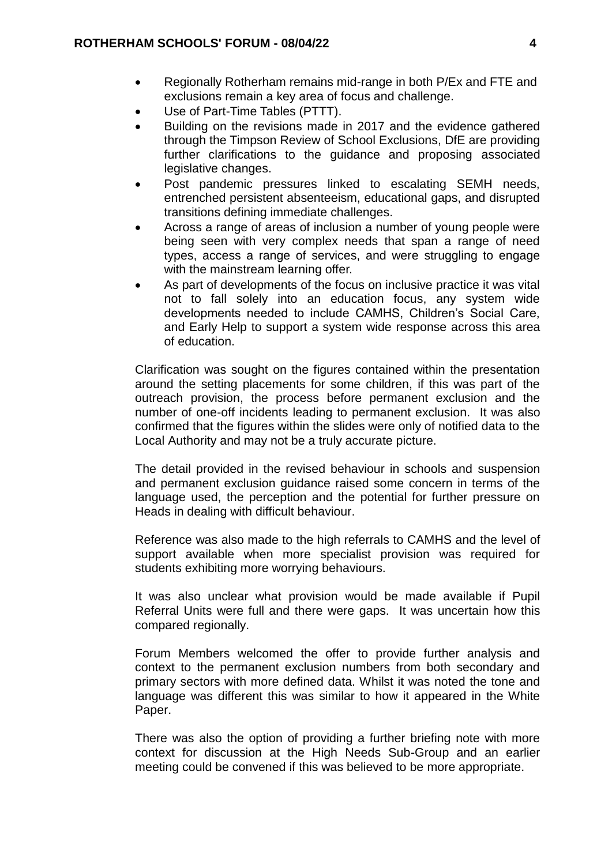- Regionally Rotherham remains mid-range in both P/Ex and FTE and exclusions remain a key area of focus and challenge.
- Use of Part-Time Tables (PTTT).
- Building on the revisions made in 2017 and the evidence gathered through the Timpson Review of School Exclusions, DfE are providing further clarifications to the guidance and proposing associated legislative changes.
- Post pandemic pressures linked to escalating SEMH needs, entrenched persistent absenteeism, educational gaps, and disrupted transitions defining immediate challenges.
- Across a range of areas of inclusion a number of young people were being seen with very complex needs that span a range of need types, access a range of services, and were struggling to engage with the mainstream learning offer.
- As part of developments of the focus on inclusive practice it was vital not to fall solely into an education focus, any system wide developments needed to include CAMHS, Children's Social Care, and Early Help to support a system wide response across this area of education.

Clarification was sought on the figures contained within the presentation around the setting placements for some children, if this was part of the outreach provision, the process before permanent exclusion and the number of one-off incidents leading to permanent exclusion. It was also confirmed that the figures within the slides were only of notified data to the Local Authority and may not be a truly accurate picture.

The detail provided in the revised behaviour in schools and suspension and permanent exclusion guidance raised some concern in terms of the language used, the perception and the potential for further pressure on Heads in dealing with difficult behaviour.

Reference was also made to the high referrals to CAMHS and the level of support available when more specialist provision was required for students exhibiting more worrying behaviours.

It was also unclear what provision would be made available if Pupil Referral Units were full and there were gaps. It was uncertain how this compared regionally.

Forum Members welcomed the offer to provide further analysis and context to the permanent exclusion numbers from both secondary and primary sectors with more defined data. Whilst it was noted the tone and language was different this was similar to how it appeared in the White Paper.

There was also the option of providing a further briefing note with more context for discussion at the High Needs Sub-Group and an earlier meeting could be convened if this was believed to be more appropriate.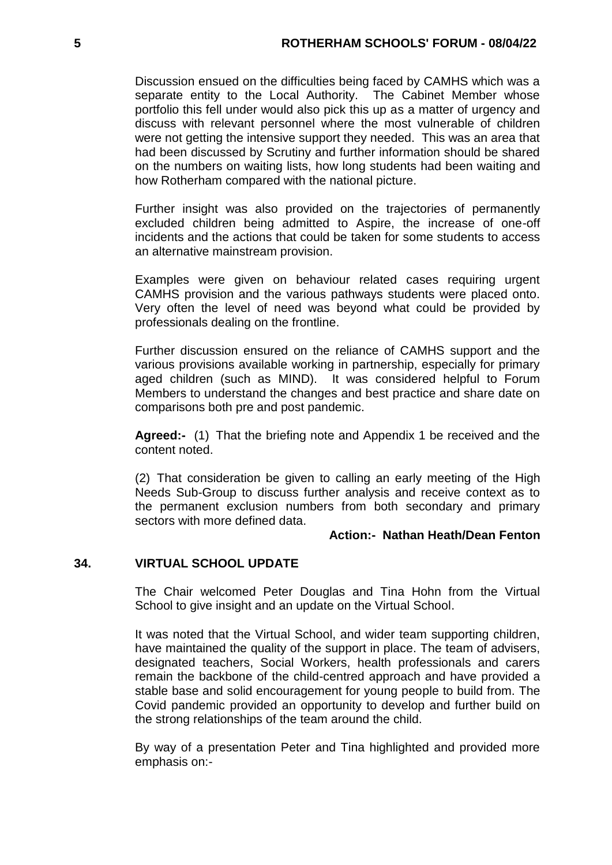Discussion ensued on the difficulties being faced by CAMHS which was a separate entity to the Local Authority. The Cabinet Member whose portfolio this fell under would also pick this up as a matter of urgency and discuss with relevant personnel where the most vulnerable of children were not getting the intensive support they needed. This was an area that had been discussed by Scrutiny and further information should be shared on the numbers on waiting lists, how long students had been waiting and how Rotherham compared with the national picture.

Further insight was also provided on the trajectories of permanently excluded children being admitted to Aspire, the increase of one-off incidents and the actions that could be taken for some students to access an alternative mainstream provision.

Examples were given on behaviour related cases requiring urgent CAMHS provision and the various pathways students were placed onto. Very often the level of need was beyond what could be provided by professionals dealing on the frontline.

Further discussion ensured on the reliance of CAMHS support and the various provisions available working in partnership, especially for primary aged children (such as MIND). It was considered helpful to Forum Members to understand the changes and best practice and share date on comparisons both pre and post pandemic.

**Agreed:-** (1) That the briefing note and Appendix 1 be received and the content noted.

(2) That consideration be given to calling an early meeting of the High Needs Sub-Group to discuss further analysis and receive context as to the permanent exclusion numbers from both secondary and primary sectors with more defined data.

# **Action:- Nathan Heath/Dean Fenton**

### **34. VIRTUAL SCHOOL UPDATE**

The Chair welcomed Peter Douglas and Tina Hohn from the Virtual School to give insight and an update on the Virtual School.

It was noted that the Virtual School, and wider team supporting children, have maintained the quality of the support in place. The team of advisers, designated teachers, Social Workers, health professionals and carers remain the backbone of the child-centred approach and have provided a stable base and solid encouragement for young people to build from. The Covid pandemic provided an opportunity to develop and further build on the strong relationships of the team around the child.

By way of a presentation Peter and Tina highlighted and provided more emphasis on:-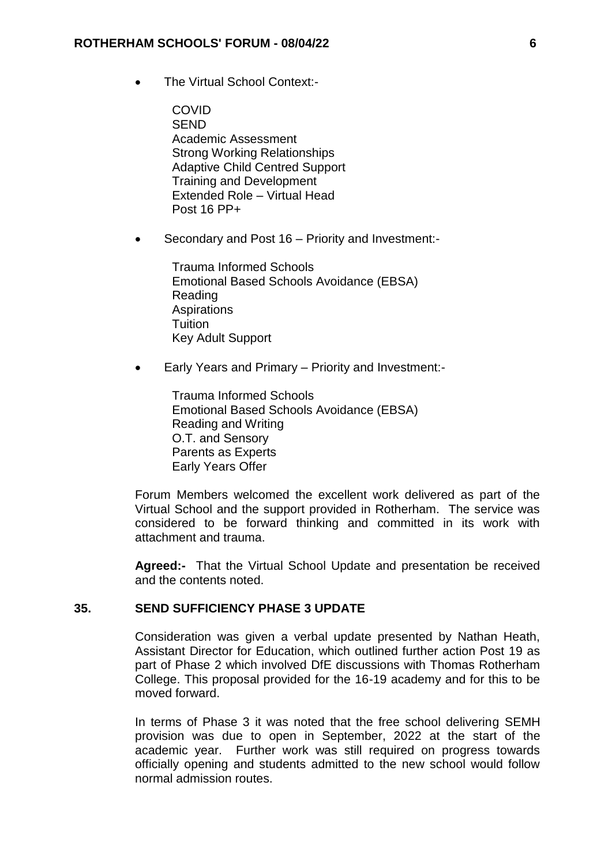• The Virtual School Context:-

**COVID SEND** Academic Assessment Strong Working Relationships Adaptive Child Centred Support Training and Development Extended Role – Virtual Head Post 16 PP+

Secondary and Post 16 – Priority and Investment:-

Trauma Informed Schools Emotional Based Schools Avoidance (EBSA) Reading **Aspirations** Tuition Key Adult Support

Early Years and Primary – Priority and Investment:-

Trauma Informed Schools Emotional Based Schools Avoidance (EBSA) Reading and Writing O.T. and Sensory Parents as Experts Early Years Offer

Forum Members welcomed the excellent work delivered as part of the Virtual School and the support provided in Rotherham. The service was considered to be forward thinking and committed in its work with attachment and trauma.

**Agreed:-** That the Virtual School Update and presentation be received and the contents noted.

### **35. SEND SUFFICIENCY PHASE 3 UPDATE**

Consideration was given a verbal update presented by Nathan Heath, Assistant Director for Education, which outlined further action Post 19 as part of Phase 2 which involved DfE discussions with Thomas Rotherham College. This proposal provided for the 16-19 academy and for this to be moved forward.

In terms of Phase 3 it was noted that the free school delivering SEMH provision was due to open in September, 2022 at the start of the academic year. Further work was still required on progress towards officially opening and students admitted to the new school would follow normal admission routes.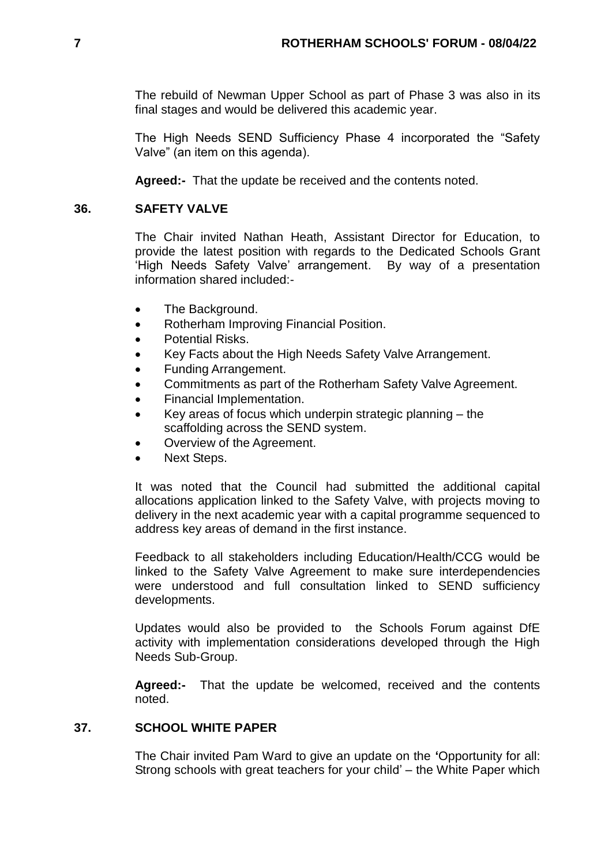The rebuild of Newman Upper School as part of Phase 3 was also in its final stages and would be delivered this academic year.

The High Needs SEND Sufficiency Phase 4 incorporated the "Safety Valve" (an item on this agenda).

**Agreed:-** That the update be received and the contents noted.

## **36. SAFETY VALVE**

The Chair invited Nathan Heath, Assistant Director for Education, to provide the latest position with regards to the Dedicated Schools Grant 'High Needs Safety Valve' arrangement. By way of a presentation information shared included:-

- The Background.
- Rotherham Improving Financial Position.
- Potential Risks.
- Key Facts about the High Needs Safety Valve Arrangement.
- Funding Arrangement.
- Commitments as part of the Rotherham Safety Valve Agreement.
- Financial Implementation.
- Key areas of focus which underpin strategic planning the scaffolding across the SEND system.
- Overview of the Agreement.
- Next Steps.

It was noted that the Council had submitted the additional capital allocations application linked to the Safety Valve, with projects moving to delivery in the next academic year with a capital programme sequenced to address key areas of demand in the first instance.

Feedback to all stakeholders including Education/Health/CCG would be linked to the Safety Valve Agreement to make sure interdependencies were understood and full consultation linked to SEND sufficiency developments.

Updates would also be provided to the Schools Forum against DfE activity with implementation considerations developed through the High Needs Sub-Group.

**Agreed:-** That the update be welcomed, received and the contents noted.

### **37. SCHOOL WHITE PAPER**

The Chair invited Pam Ward to give an update on the **'**Opportunity for all: Strong schools with great teachers for your child' – the White Paper which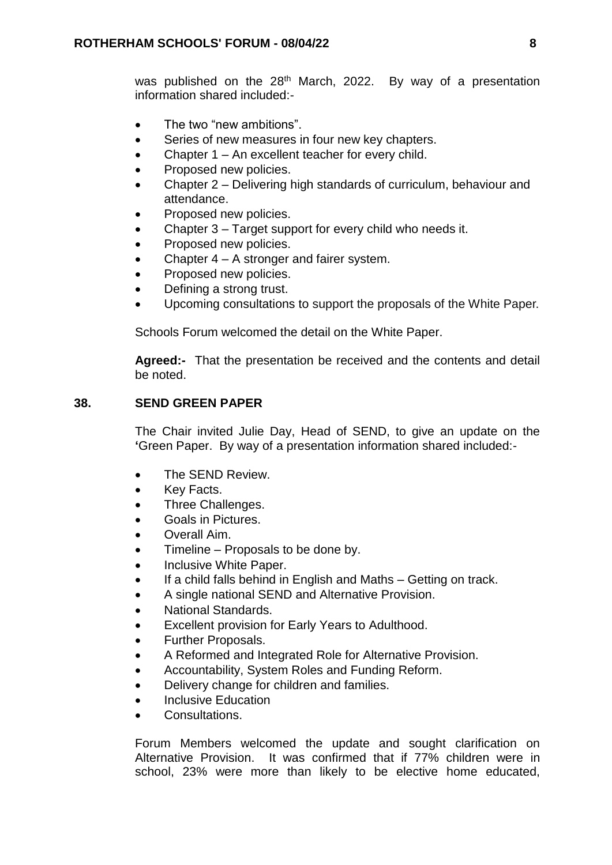was published on the 28<sup>th</sup> March, 2022. By way of a presentation information shared included:-

- The two "new ambitions".
- Series of new measures in four new key chapters.
- Chapter 1 An excellent teacher for every child.
- Proposed new policies.
- Chapter 2 Delivering high standards of curriculum, behaviour and attendance.
- Proposed new policies.
- Chapter 3 Target support for every child who needs it.
- Proposed new policies.
- Chapter 4 A stronger and fairer system.
- Proposed new policies.
- Defining a strong trust.
- Upcoming consultations to support the proposals of the White Paper.

Schools Forum welcomed the detail on the White Paper.

**Agreed:-** That the presentation be received and the contents and detail be noted.

## **38. SEND GREEN PAPER**

The Chair invited Julie Day, Head of SEND, to give an update on the **'**Green Paper. By way of a presentation information shared included:-

- The SEND Review.
- Key Facts.
- Three Challenges.
- Goals in Pictures.
- Overall Aim.
- Timeline Proposals to be done by.
- Inclusive White Paper.
- If a child falls behind in English and Maths Getting on track.
- A single national SEND and Alternative Provision.
- National Standards.
- Excellent provision for Early Years to Adulthood.
- Further Proposals.
- A Reformed and Integrated Role for Alternative Provision.
- Accountability, System Roles and Funding Reform.
- Delivery change for children and families.
- Inclusive Education
- Consultations.

Forum Members welcomed the update and sought clarification on Alternative Provision. It was confirmed that if 77% children were in school, 23% were more than likely to be elective home educated,